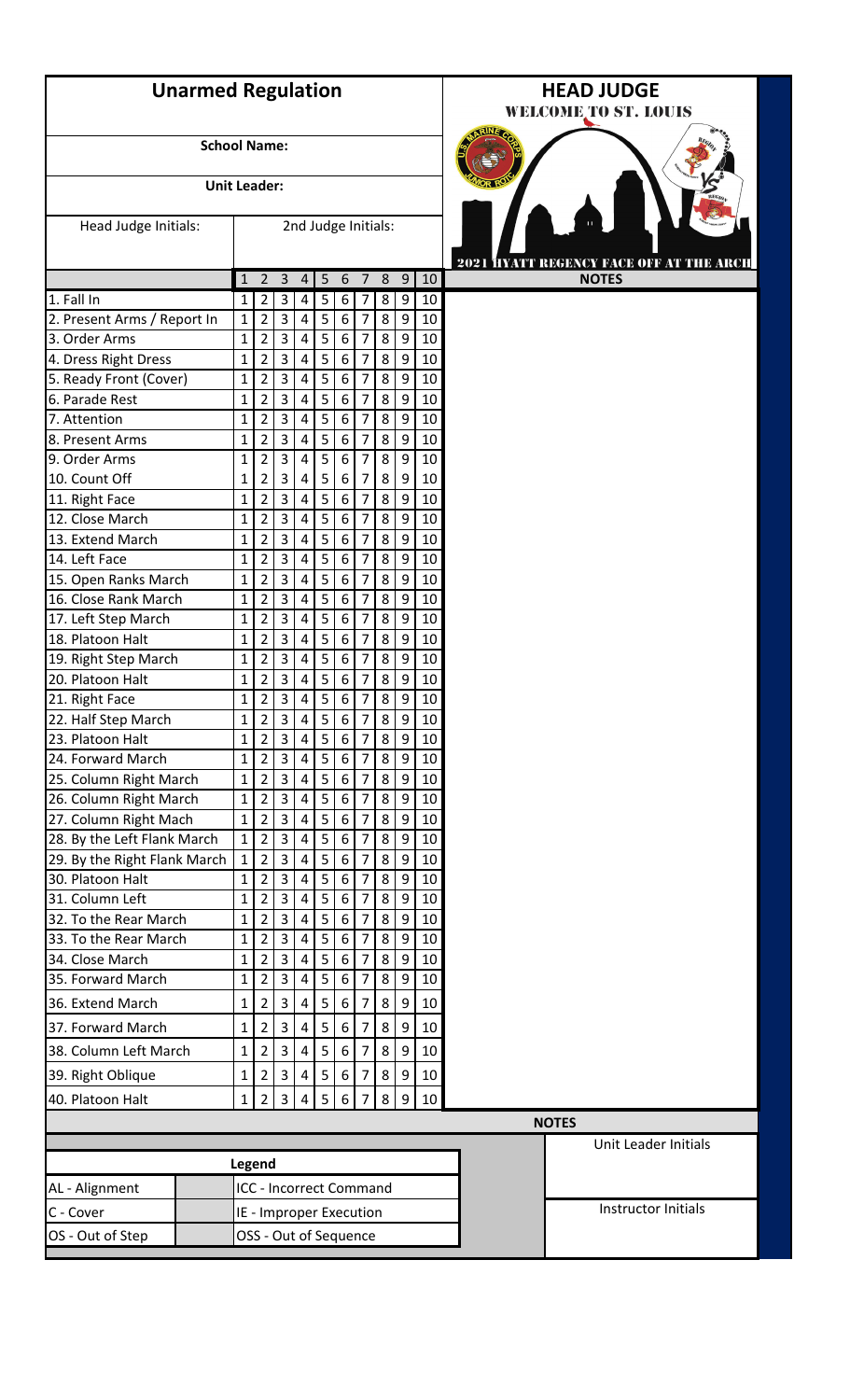|                                 | <b>Unarmed Regulation</b> |                   |                     |                     |                         |                                |                  |                     |        |                  |            | <b>HEAD JUDGE</b><br><b>WELCOME TO ST. LOUIS</b> |
|---------------------------------|---------------------------|-------------------|---------------------|---------------------|-------------------------|--------------------------------|------------------|---------------------|--------|------------------|------------|--------------------------------------------------|
|                                 | <b>School Name:</b>       |                   |                     |                     |                         |                                |                  |                     |        |                  |            |                                                  |
|                                 | <b>Unit Leader:</b>       |                   |                     |                     |                         |                                |                  |                     |        |                  |            |                                                  |
| Head Judge Initials:            |                           |                   |                     |                     |                         | 2nd Judge Initials:            |                  |                     |        |                  |            | 2021 HYATT REGENCY FACE OFF AT THE ARCH          |
|                                 |                           | $\mathbf{1}$      | $\overline{2}$      | $\overline{3}$      | 4                       | 5                              | $6\,$            | $\overline{7}$      | 8      | $\boldsymbol{9}$ | $\vert$ 10 | <b>NOTES</b>                                     |
| 1. Fall In                      |                           | 1                 | $\overline{2}$      | $\mathsf 3$         | 4                       | 5                              | 6                | 7                   | 8      | 9                | 10         |                                                  |
| 2. Present Arms / Report In     |                           | $\mathbf{1}$      | 2                   | 3                   | 4                       | 5                              | 6                | 7                   | 8      | 9                | 10         |                                                  |
| 3. Order Arms                   |                           | $\mathbf{1}$      | $\overline{2}$      | 3                   | 4                       | 5                              | 6                | $\overline{7}$      | 8      | 9                | 10         |                                                  |
| 4. Dress Right Dress            |                           | $\mathbf{1}$      | $\overline{2}$      | $\overline{3}$      | $\overline{4}$          | 5                              | 6                | 7                   | 8      | 9                | 10         |                                                  |
| 5. Ready Front (Cover)          |                           | $\mathbf 1$       | $\overline{2}$      | 3                   | 4                       | 5                              | 6                | 7                   | 8      | 9                | 10         |                                                  |
| 6. Parade Rest                  |                           | 1                 | $\overline{2}$      | $\overline{3}$      | 4                       | 5                              | 6                | $\overline{7}$      | 8      | 9                | 10         |                                                  |
| 7. Attention                    |                           | $\mathbf{1}$      | 2                   | 3                   | 4                       | 5                              | 6                | 7                   | 8      | 9                | 10         |                                                  |
| 8. Present Arms                 |                           | $\mathbf{1}$      | $\overline{2}$      | 3                   | 4                       | 5                              | 6                | $\overline{7}$      | 8      | 9                | 10         |                                                  |
| 9. Order Arms                   |                           | $\mathbf{1}$      | $\overline{2}$      | 3                   | 4                       | 5                              | 6                | 7                   | 8      | 9                | 10         |                                                  |
| 10. Count Off<br>11. Right Face |                           | 1<br>$\mathbf{1}$ | 2<br>$\overline{2}$ | 3<br>$\overline{3}$ | 4<br>$\overline{4}$     | 5<br>5                         | 6<br>6           | 7<br>$\overline{7}$ | 8<br>8 | 9<br>9           | 10<br>10   |                                                  |
| 12. Close March                 |                           | 1                 | 2                   | 3                   | 4                       | 5                              | 6                | 7                   | 8      | 9                | 10         |                                                  |
| 13. Extend March                |                           | 1                 | $\overline{2}$      | 3                   | 4                       | 5                              | 6                | $\overline{7}$      | 8      | 9                | 10         |                                                  |
| 14. Left Face                   |                           | 1                 | $\overline{2}$      | 3                   | 4                       | 5                              | 6                | 7                   | 8      | 9                | 10         |                                                  |
| 15. Open Ranks March            |                           | $\mathbf{1}$      | $\overline{2}$      | $\overline{3}$      | $\overline{4}$          | 5                              | 6                | 7                   | 8      | 9                | 10         |                                                  |
| 16. Close Rank March            |                           | 1                 | $\overline{2}$      | $\overline{3}$      | 4                       | 5                              | 6                | $\overline{7}$      | 8      | 9                | 10         |                                                  |
| 17. Left Step March             |                           | 1                 | 2                   | 3                   | 4                       | 5                              | 6                | 7                   | 8      | 9                | 10         |                                                  |
| 18. Platoon Halt                |                           | $\mathbf{1}$      | $\overline{2}$      | 3                   | 4                       | 5                              | $\boldsymbol{6}$ | 7                   | 8      | 9                | 10         |                                                  |
| 19. Right Step March            |                           | 1                 | $\overline{2}$      | 3                   | 4                       | 5                              | 6                | 7                   | 8      | 9                | 10         |                                                  |
| 20. Platoon Halt                |                           | $\mathbf{1}$      | $\overline{2}$      | $\overline{3}$      | $\overline{4}$          | 5 <sup>1</sup>                 | 6                | $\overline{7}$      | 8      | 9                | 10         |                                                  |
| 21. Right Face                  |                           | $\mathbf{1}$      | $\overline{2}$      | $\overline{3}$      | 4                       | 5                              | 6                | $\overline{7}$      | 8      | 9                | 10         |                                                  |
| 22. Half Step March             |                           | $\mathbf{1}$      | $\overline{2}$      | 3                   | 4                       | 5                              | 6                | 7                   | 8      | 9                | 10         |                                                  |
| 23. Platoon Halt                |                           | $\mathbf{1}$      | $\overline{2}$      | $\overline{3}$      | $\overline{4}$          | 5                              | $\boldsymbol{6}$ | $\overline{7}$      | 8      | 9                | 10         |                                                  |
| 24. Forward March               |                           | 1                 | $\overline{2}$      | $\overline{3}$      | $\overline{4}$          | 5                              | $\boldsymbol{6}$ | $\overline{7}$      | 8      | 9                | 10         |                                                  |
| 25. Column Right March          |                           | $\mathbf{1}$      | $\overline{2}$      | $\overline{3}$      | $\overline{4}$          | 5                              | 6                | 7                   | 8      | 9                | 10         |                                                  |
| 26. Column Right March          |                           | $\mathbf 1$       | $\overline{2}$      | $\overline{3}$      | 4                       | 5                              | 6                | 7                   | 8      | 9                | 10         |                                                  |
| 27. Column Right Mach           |                           | $\mathbf{1}$      | $\overline{2}$      | 3                   | 4                       | 5                              | 6                | 7                   | 8      | 9                | 10         |                                                  |
| 28. By the Left Flank March     |                           | $\mathbf{1}$      | $\overline{2}$      | 3                   | 4                       | 5                              | $\boldsymbol{6}$ | $\overline{7}$      | 8      | 9                | 10         |                                                  |
| 29. By the Right Flank March    |                           | $\mathbf{1}$      | $\overline{2}$      | $\overline{3}$      | $\overline{4}$          | 5                              | $\boldsymbol{6}$ | $\overline{7}$      | 8      | 9                | 10         |                                                  |
| 30. Platoon Halt                |                           | $\mathbf{1}$      | $\overline{2}$      | $\overline{3}$      | 4                       | 5                              | 6                | 7                   | 8      | 9                | 10         |                                                  |
| 31. Column Left                 |                           | $\mathbf{1}$      | $\overline{2}$      | $\overline{3}$      | 4                       | 5                              | 6                | $\overline{7}$      | 8      | 9                | 10         |                                                  |
| 32. To the Rear March           |                           | $\mathbf{1}$      | $\overline{2}$      | 3                   | 4                       | 5                              | 6                | 7                   | 8      | 9                | 10         |                                                  |
| 33. To the Rear March           |                           | $\mathbf{1}$      | $\overline{2}$      | 3                   | 4                       | 5                              | 6                | $\overline{7}$      | 8      | 9                | 10         |                                                  |
| 34. Close March                 |                           | 1                 | $\overline{2}$      | $\overline{3}$      | $\overline{4}$          | 5                              | 6                | $\overline{7}$      | 8      | 9                | 10         |                                                  |
| 35. Forward March               |                           | $\mathbf{1}$      | $\overline{2}$      | $\mathbf{3}$        | $\overline{4}$          | 5                              | 6                | 7                   | 8      | 9                | 10         |                                                  |
| 36. Extend March                |                           | $\mathbf{1}$      | $\overline{2}$      | 3                   | 4                       | 5                              | 6                | 7                   | 8      | 9                | 10         |                                                  |
| 37. Forward March               |                           | 1                 | 2                   | 3                   | 4                       | 5                              | 6                | $\overline{7}$      | 8      | 9                | 10         |                                                  |
| 38. Column Left March           |                           | $\mathbf{1}$      | $\overline{2}$      | 3                   | 4                       | 5                              | 6                | 7                   | 8      | 9                | 10         |                                                  |
|                                 |                           |                   |                     | $\mathbf{3}$        | $\overline{4}$          | 5                              | 6                | $\overline{7}$      | 8      |                  | 10         |                                                  |
| 39. Right Oblique               |                           | 1                 | $\overline{2}$      |                     |                         |                                |                  |                     |        | 9                |            |                                                  |
| 40. Platoon Halt                | $\mathbf 1$               | $\overline{2}$    | $\overline{3}$      | 4                   | 5                       | 6                              |                  | 8                   | 9      | 10               |            |                                                  |
|                                 |                           |                   |                     |                     |                         |                                |                  |                     |        |                  |            | <b>NOTES</b>                                     |
|                                 |                           |                   | Legend              |                     |                         |                                |                  |                     |        |                  |            | Unit Leader Initials                             |
| AL - Alignment                  |                           |                   |                     |                     |                         | <b>ICC - Incorrect Command</b> |                  |                     |        |                  |            |                                                  |
|                                 |                           |                   |                     |                     |                         |                                |                  |                     |        |                  |            | Instructor Initials                              |
| C - Cover                       |                           |                   |                     |                     | IE - Improper Execution |                                |                  |                     |        |                  |            |                                                  |
| OS - Out of Step                |                           |                   |                     |                     | OSS - Out of Sequence   |                                |                  |                     |        |                  |            |                                                  |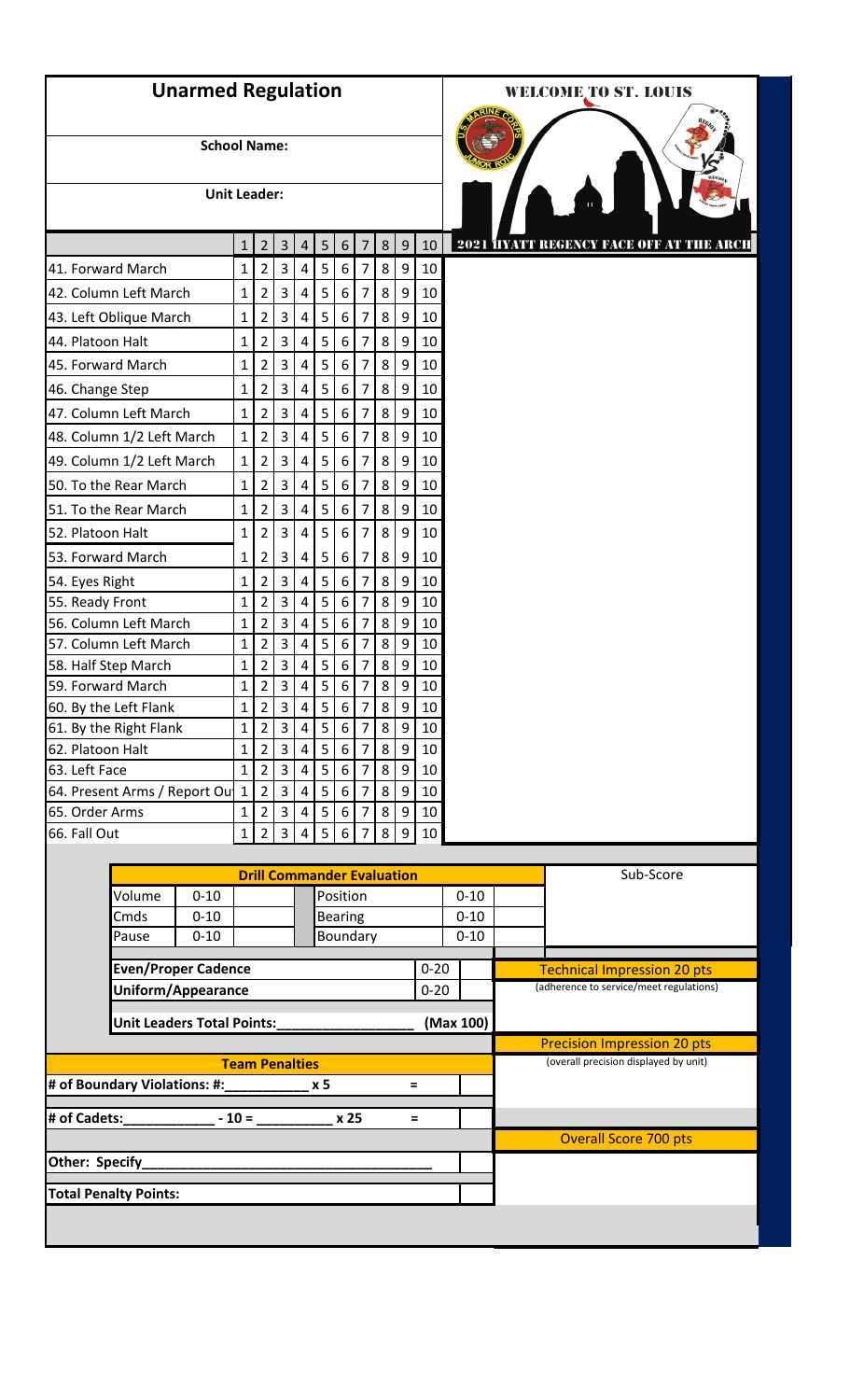|                   | <b>Unarmed Regulation</b>         |                     |                              |                                  |                                |                              |                                   |                       |                |        |                  |          |           |  | <b>WELCOME TO ST. LOUIS</b>                                                 |           |  |
|-------------------|-----------------------------------|---------------------|------------------------------|----------------------------------|--------------------------------|------------------------------|-----------------------------------|-----------------------|----------------|--------|------------------|----------|-----------|--|-----------------------------------------------------------------------------|-----------|--|
|                   |                                   | <b>School Name:</b> |                              |                                  |                                |                              |                                   |                       |                |        |                  |          |           |  |                                                                             |           |  |
|                   |                                   | <b>Unit Leader:</b> |                              |                                  |                                |                              |                                   |                       |                |        |                  |          |           |  |                                                                             |           |  |
|                   |                                   |                     | $\mathbf{1}$                 | $2^{\circ}$                      | $\overline{3}$                 | $\overline{4}$               | 5                                 | 6                     | 7              | 8      | 9                | 10       |           |  | <b>2021 HYATT REGENCY FACE OFF AT THE ARCH</b>                              |           |  |
| 41. Forward March |                                   |                     | $\mathbf 1$                  | $\overline{2}$                   | 3                              | 4                            | 5                                 | 6                     | 7              | 8      | 9                | 10       |           |  |                                                                             |           |  |
|                   | 42. Column Left March             |                     | $\mathbf 1$                  | $\overline{2}$                   | 3                              | 4                            | 5                                 | 6                     | 7              | 8      | 9                | 10       |           |  |                                                                             |           |  |
|                   | 43. Left Oblique March            |                     | $\mathbf{1}$                 | $\overline{2}$                   | $\overline{3}$                 | $\overline{4}$               | 5                                 | $\boldsymbol{6}$      | 7              | 8      | $\overline{9}$   | 10       |           |  |                                                                             |           |  |
| 44. Platoon Halt  |                                   |                     | $\mathbf 1$                  | $\overline{2}$                   | 3                              | $\overline{4}$               | 5                                 | 6                     | 7              | 8      | 9                | 10       |           |  |                                                                             |           |  |
| 45. Forward March |                                   |                     | $\mathbf{1}$                 | $\overline{2}$                   | $\overline{3}$                 | $\pmb{4}$                    | 5                                 | $\boldsymbol{6}$      | 7              | 8      | $\boldsymbol{9}$ | 10       |           |  |                                                                             |           |  |
| 46. Change Step   |                                   |                     | $\mathbf{1}$                 | $\overline{2}$                   | 3                              | 4                            | 5                                 | 6                     | 7              | 8      | 9                | 10       |           |  |                                                                             |           |  |
|                   | 47. Column Left March             |                     | $\mathbf{1}$                 | $\overline{2}$                   | 3                              | $\overline{4}$               | 5                                 | 6                     | 7              | 8      | 9                | 10       |           |  |                                                                             |           |  |
|                   | 48. Column 1/2 Left March         |                     | $\mathbf{1}$                 | $\overline{2}$                   | 3                              | 4                            | 5                                 | 6                     | 7              | 8      | 9                | 10       |           |  |                                                                             |           |  |
|                   | 49. Column 1/2 Left March         |                     | $\mathbf{1}$                 | $\overline{2}$                   | $\overline{3}$                 | 4                            | 5                                 | 6                     | 7              | 8      | 9                | 10       |           |  |                                                                             |           |  |
|                   |                                   |                     |                              |                                  |                                |                              |                                   |                       |                |        |                  |          |           |  |                                                                             |           |  |
|                   | 50. To the Rear March             |                     | $\mathbf{1}$                 | $\overline{2}$                   | 3                              | 4                            | 5                                 | $6\,$                 | 7              | 8      | 9                | 10       |           |  |                                                                             |           |  |
|                   | 51. To the Rear March             |                     | $\mathbf 1$                  | $\overline{2}$                   | 3                              | $\overline{4}$               | 5                                 | $6\,$                 | 7              | 8      | 9                | 10       |           |  |                                                                             |           |  |
| 52. Platoon Halt  |                                   |                     | $\overline{1}$               | $\overline{2}$                   | 3                              | 4                            | 5                                 | 6                     | 7              | 8      | 9                | 10       |           |  |                                                                             |           |  |
|                   | 53. Forward March                 |                     | 1                            | $\overline{2}$                   | 3                              | 4                            | 5                                 | 6                     | 7              | 8      | 9                | 10       |           |  |                                                                             |           |  |
| 54. Eyes Right    |                                   |                     | $\mathbf{1}$                 | $\overline{2}$                   | 3                              | $\overline{4}$               | 5                                 | $\boldsymbol{6}$      | 7              | 8      | 9                | 10       |           |  |                                                                             |           |  |
| 55. Ready Front   |                                   |                     | $\mathbf 1$                  | $\overline{2}$                   | $\overline{3}$                 | 4                            | 5                                 | 6                     | 7              | 8      | 9                | 10       |           |  |                                                                             |           |  |
|                   | 56. Column Left March             |                     | $\mathbf 1$                  | $\overline{2}$                   | $\overline{3}$                 | $\overline{4}$               | 5                                 | $\boldsymbol{6}$      | $\overline{7}$ | 8      | 9                | 10       |           |  |                                                                             |           |  |
|                   | 57. Column Left March             |                     | $\mathbf{1}$                 | $\overline{2}$                   | $\overline{3}$                 | $\overline{4}$               | 5                                 | 6                     | 7              | 8      | 9                | 10       |           |  |                                                                             |           |  |
|                   | 58. Half Step March               |                     | $\mathbf{1}$                 | $\overline{2}$                   | $\overline{3}$                 | $\overline{4}$               | 5                                 | 6                     | 7              | 8      | 9                | 10       |           |  |                                                                             |           |  |
|                   | 59. Forward March                 |                     | 1                            | $\overline{2}$                   | 3                              | $4 \mid$                     | $5 \mid$                          | 6                     | 7              | 8      | 9                | 10       |           |  |                                                                             |           |  |
|                   | 60. By the Left Flank             |                     | $\mathbf{1}$                 | $\overline{2}$                   | $\overline{3}$                 | $\overline{4}$               | 5                                 | 6                     | $\overline{7}$ | 8      | 9                | 10       |           |  |                                                                             |           |  |
|                   | 61. By the Right Flank            |                     | $\mathbf{1}$                 | $\overline{2}$                   | $\mathsf{3}$                   | 4                            | 5                                 | 6                     | 7              | 8      | 9                | 10       |           |  |                                                                             |           |  |
| 62. Platoon Halt  |                                   |                     | $\mathbf 1$                  | $\overline{2}$                   | $\overline{3}$                 | $\sqrt{4}$                   | 5                                 | $\boldsymbol{6}$      | 7              | 8      | 9                | 10       |           |  |                                                                             |           |  |
| 63. Left Face     | 64. Present Arms / Report Ou      |                     | $\mathbf{1}$<br>$\mathbf{1}$ | $\overline{2}$<br>$\overline{2}$ | $\mathsf{3}$<br>$\overline{3}$ | $\sqrt{4}$<br>$\overline{4}$ | 5<br>5                            | 6<br>$\boldsymbol{6}$ | 7<br>7         | 8<br>8 | 9<br>9           | 10<br>10 |           |  |                                                                             |           |  |
| 65. Order Arms    |                                   |                     | $\mathbf{1}$                 | $\overline{2}$                   | $\mathsf{3}$                   | $\overline{4}$               | 5                                 | 6                     | 7              | 8      | 9                | 10       |           |  |                                                                             |           |  |
| 66. Fall Out      |                                   |                     | $\mathbf 1$                  | $\overline{2}$                   | $\overline{3}$                 | $\overline{4}$               | 5                                 | 6                     | 7              | 8      | 9                | 10       |           |  |                                                                             |           |  |
|                   |                                   |                     |                              |                                  |                                |                              |                                   |                       |                |        |                  |          |           |  |                                                                             |           |  |
|                   |                                   |                     |                              |                                  |                                |                              | <b>Drill Commander Evaluation</b> |                       |                |        |                  |          |           |  |                                                                             | Sub-Score |  |
|                   | Volume                            | $0 - 10$            |                              |                                  |                                |                              |                                   | Position              |                |        |                  |          | $0 - 10$  |  |                                                                             |           |  |
|                   | Cmds                              | $0 - 10$            |                              |                                  |                                |                              |                                   | <b>Bearing</b>        |                |        |                  |          | $0 - 10$  |  |                                                                             |           |  |
|                   | Pause                             | $0 - 10$            |                              |                                  |                                |                              |                                   | Boundary              |                |        |                  |          | $0 - 10$  |  |                                                                             |           |  |
|                   | <b>Even/Proper Cadence</b>        |                     |                              |                                  |                                |                              |                                   |                       |                |        |                  | $0 - 20$ |           |  | <b>Technical Impression 20 pts</b>                                          |           |  |
|                   | Uniform/Appearance                |                     |                              |                                  |                                |                              |                                   |                       |                |        |                  | $0 - 20$ |           |  | (adherence to service/meet regulations)                                     |           |  |
|                   |                                   |                     |                              |                                  |                                |                              |                                   |                       |                |        |                  |          |           |  |                                                                             |           |  |
|                   | <b>Unit Leaders Total Points:</b> |                     |                              |                                  |                                |                              |                                   |                       |                |        |                  |          | (Max 100) |  |                                                                             |           |  |
|                   |                                   |                     |                              |                                  | <b>Team Penalties</b>          |                              |                                   |                       |                |        |                  |          |           |  | <b>Precision Impression 20 pts</b><br>(overall precision displayed by unit) |           |  |
|                   | # of Boundary Violations: #:      |                     |                              |                                  |                                |                              | x <sub>5</sub>                    |                       |                |        | $=$              |          |           |  |                                                                             |           |  |
| # of Cadets:      |                                   |                     | $-10=$                       |                                  |                                |                              |                                   | x 25                  |                |        |                  | $=$      |           |  |                                                                             |           |  |
| Other: Specify_   |                                   |                     |                              |                                  |                                |                              |                                   |                       |                |        |                  |          |           |  | <b>Overall Score 700 pts</b>                                                |           |  |
|                   |                                   |                     |                              |                                  |                                |                              |                                   |                       |                |        |                  |          |           |  |                                                                             |           |  |
|                   | <b>Total Penalty Points:</b>      |                     |                              |                                  |                                |                              |                                   |                       |                |        |                  |          |           |  |                                                                             |           |  |
|                   |                                   |                     |                              |                                  |                                |                              |                                   |                       |                |        |                  |          |           |  |                                                                             |           |  |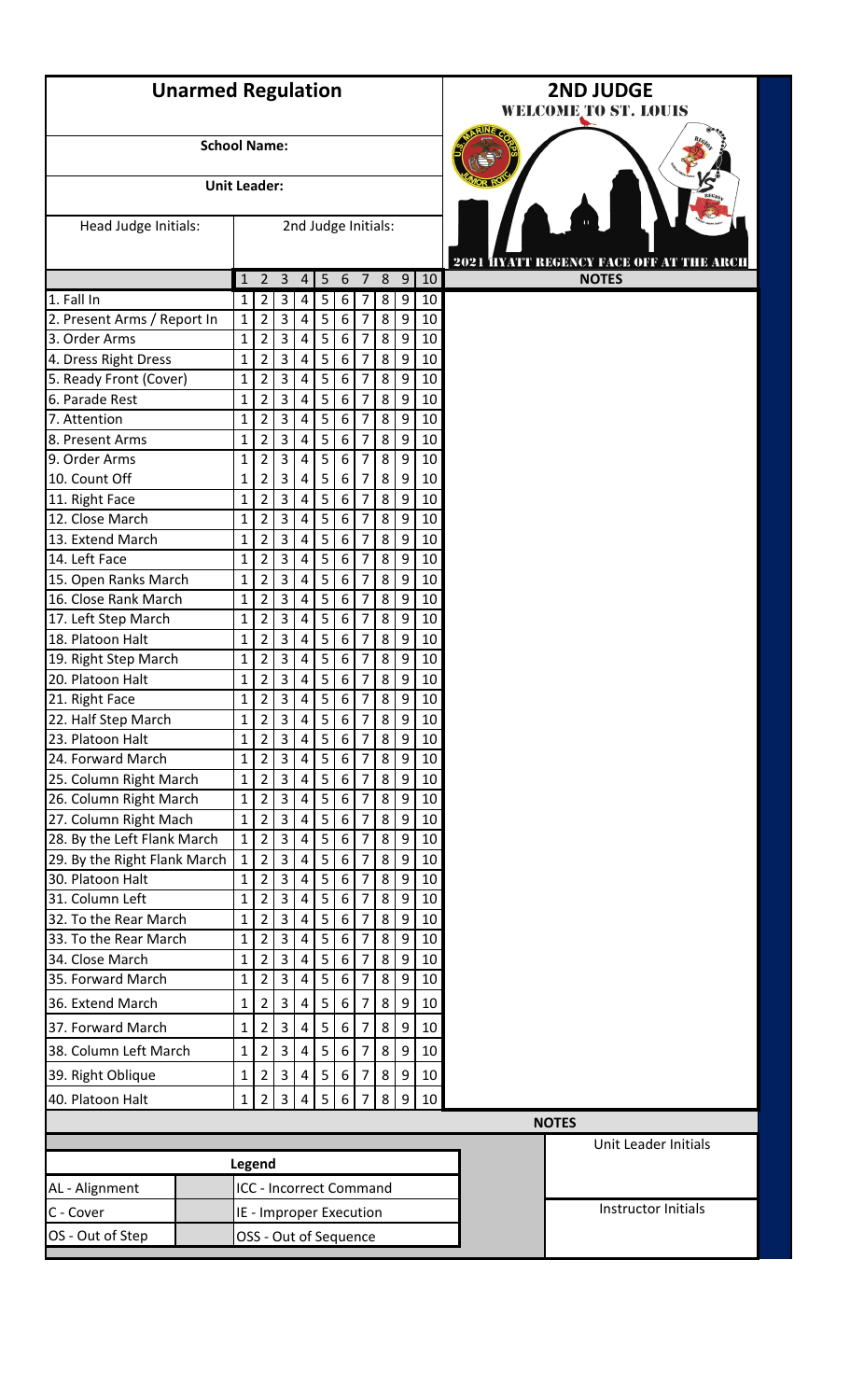|                                                                                  | <b>Unarmed Regulation</b> |                         |                                |                         |                |   |                  |                |   |                  |    |  |  |  |
|----------------------------------------------------------------------------------|---------------------------|-------------------------|--------------------------------|-------------------------|----------------|---|------------------|----------------|---|------------------|----|--|--|--|
|                                                                                  | <b>School Name:</b>       |                         |                                |                         |                |   |                  |                |   |                  |    |  |  |  |
|                                                                                  | <b>Unit Leader:</b>       |                         |                                |                         |                |   |                  |                |   |                  |    |  |  |  |
| Head Judge Initials:                                                             |                           |                         | 2nd Judge Initials:            |                         |                |   |                  |                |   |                  |    |  |  |  |
|                                                                                  |                           | 1                       | $\overline{2}$                 | $\overline{3}$          | 4              | 5 | 6                | 7              | 8 | $\overline{9}$   | 10 |  |  |  |
| 1. Fall In                                                                       |                           | 1                       | $\overline{2}$                 | 3                       | 4              | 5 | 6                | 7              | 8 | 9                | 10 |  |  |  |
| 2. Present Arms / Report In                                                      |                           | $\mathbf{1}$            | $\overline{2}$                 | 3                       | $\pmb{4}$      | 5 | $\boldsymbol{6}$ | $\overline{7}$ | 8 | 9                | 10 |  |  |  |
| 3. Order Arms                                                                    |                           | $\mathbf{1}$            | $\overline{2}$                 | 3                       | 4              | 5 | 6                | 7              | 8 | 9                | 10 |  |  |  |
| 4. Dress Right Dress                                                             |                           | $\mathbf{1}$            | $\overline{2}$                 | $\overline{3}$          | $\pmb{4}$      | 5 | 6                | $\overline{7}$ | 8 | 9                | 10 |  |  |  |
| 5. Ready Front (Cover)                                                           |                           | 1                       | $\overline{2}$                 | 3                       | $\sqrt{4}$     | 5 | 6                | 7              | 8 | 9                | 10 |  |  |  |
| 6. Parade Rest                                                                   |                           | 1                       | $\overline{2}$                 | 3                       | $\overline{4}$ | 5 | 6                | 7              | 8 | 9                | 10 |  |  |  |
| 7. Attention                                                                     |                           | 1                       | $\overline{2}$                 | 3                       | $\pmb{4}$      | 5 | 6                | 7              | 8 | 9                | 10 |  |  |  |
| 8. Present Arms                                                                  |                           | 1                       | $\overline{2}$                 | $\mathsf{3}$            | 4              | 5 | 6                | 7              | 8 | 9                | 10 |  |  |  |
| 9. Order Arms                                                                    |                           | $\mathbf{1}$            | $\overline{2}$                 | 3                       | 4              | 5 | 6                | $\overline{7}$ | 8 | 9                | 10 |  |  |  |
| 10. Count Off                                                                    |                           | 1                       | $\overline{2}$                 | 3                       | 4              | 5 | 6                | 7              | 8 | 9                | 10 |  |  |  |
| 11. Right Face                                                                   |                           | 1                       | $\overline{2}$                 | 3                       | $\pmb{4}$      | 5 | $6\phantom{1}6$  | $\overline{7}$ | 8 | 9                | 10 |  |  |  |
| 12. Close March                                                                  |                           | 1                       | $\overline{2}$                 | 3                       | $\sqrt{4}$     | 5 | $\boldsymbol{6}$ | 7              | 8 | 9                | 10 |  |  |  |
| 13. Extend March                                                                 |                           | 1                       | $\overline{2}$                 | 3                       | 4              | 5 | 6                | 7              | 8 | 9                | 10 |  |  |  |
| 14. Left Face                                                                    |                           | $\mathbf{1}$            | $\overline{2}$                 | 3                       | $\overline{4}$ | 5 | 6                | 7              | 8 | 9                | 10 |  |  |  |
| 15. Open Ranks March                                                             |                           | 1                       | $\overline{2}$                 | 3                       | $\sqrt{4}$     | 5 | 6                | 7              | 8 | 9                | 10 |  |  |  |
| 16. Close Rank March                                                             |                           | 1                       | $\overline{2}$                 | 3                       | $\pmb{4}$      | 5 | $6\phantom{1}6$  | 7              | 8 | 9                | 10 |  |  |  |
| 17. Left Step March                                                              |                           | $\mathbf{1}$            | $\overline{2}$                 | 3                       | $\pmb{4}$      | 5 | $\boldsymbol{6}$ | 7              | 8 | 9                | 10 |  |  |  |
| 18. Platoon Halt                                                                 |                           | 1                       | $\overline{2}$                 | 3                       | 4              | 5 | 6                | 7              | 8 | 9                | 10 |  |  |  |
| 19. Right Step March                                                             |                           | 1                       | $\overline{2}$                 | 3                       | 4              | 5 | 6                | 7              | 8 | 9                | 10 |  |  |  |
| 20. Platoon Halt                                                                 |                           | $\mathbf{1}$            | $\overline{2}$                 | $\overline{3}$          | 4              | 5 | 6                | $\overline{7}$ | 8 | 9                | 10 |  |  |  |
| 21. Right Face                                                                   |                           | 1                       | $\overline{2}$                 | $\overline{\mathbf{3}}$ | $\pmb{4}$      | 5 | $\boldsymbol{6}$ | $\overline{7}$ | 8 | $\boldsymbol{9}$ | 10 |  |  |  |
| 22. Half Step March                                                              |                           | $\mathbf{1}$            | $\overline{2}$                 | $\overline{3}$          | $\pmb{4}$      | 5 | $\boldsymbol{6}$ | 7              | 8 | 9                | 10 |  |  |  |
| 23. Platoon Halt                                                                 |                           | $\mathbf{1}$            | $\overline{2}$                 | 3                       | 4              | 5 | 6                | 7              | 8 | $\boldsymbol{9}$ | 10 |  |  |  |
| 24. Forward March                                                                |                           | $\mathbf{1}$            | $\overline{2}$                 | $\overline{3}$          | $\overline{4}$ | 5 | $6\phantom{1}6$  | $\overline{7}$ | 8 | 9                | 10 |  |  |  |
| 25. Column Right March                                                           |                           | 1                       | $\overline{2}$                 | 3                       | $\sqrt{4}$     | 5 | $\boldsymbol{6}$ | $\overline{7}$ | 8 | 9                | 10 |  |  |  |
| 26. Column Right March                                                           |                           | 1                       | $\overline{2}$                 | 3                       | $\sqrt{4}$     | 5 | $\boldsymbol{6}$ | 7              | 8 | 9                | 10 |  |  |  |
| 27. Column Right Mach                                                            |                           | $\mathbf{1}$            | $\overline{2}$                 | 3                       | 4              | 5 | $\boldsymbol{6}$ | 7              | 8 | 9                | 10 |  |  |  |
| 28. By the Left Flank March                                                      |                           | $\mathbf{1}$            | $\overline{2}$                 | 3                       | 4              | 5 | 6                | 7              | 8 | $\boldsymbol{9}$ | 10 |  |  |  |
| 29. By the Right Flank March                                                     |                           | $\mathbf{1}$            | $\overline{2}$                 | $\overline{3}$          | $\pmb{4}$      | 5 | $6\phantom{1}6$  | $\overline{7}$ | 8 | 9                | 10 |  |  |  |
| 30. Platoon Halt                                                                 |                           | $\mathbf{1}$            | $\overline{2}$                 | 3                       | $\sqrt{4}$     | 5 | $\boldsymbol{6}$ | $\overline{7}$ | 8 | 9                | 10 |  |  |  |
| 31. Column Left                                                                  |                           | $\mathbf{1}$            | $\overline{2}$                 | $\overline{\mathbf{3}}$ | $\pmb{4}$      | 5 | $6\phantom{1}6$  | 7              | 8 | $\boldsymbol{9}$ | 10 |  |  |  |
| 32. To the Rear March                                                            |                           | $\mathbf 1$             | $\overline{2}$                 | $\overline{\mathbf{3}}$ | 4              | 5 | $\boldsymbol{6}$ | 7              | 8 | 9                | 10 |  |  |  |
| 33. To the Rear March                                                            |                           | $\mathbf{1}$            | $\overline{2}$                 | $\overline{\mathbf{3}}$ | 4              | 5 | $\boldsymbol{6}$ | 7              | 8 | $\boldsymbol{9}$ | 10 |  |  |  |
| 34. Close March                                                                  |                           | $\mathbf{1}$            | $\overline{2}$                 | 3                       | $\pmb{4}$      | 5 | $6\phantom{1}6$  | $\overline{7}$ | 8 | 9                | 10 |  |  |  |
| 35. Forward March                                                                |                           | $\mathbf{1}$            | $\overline{2}$                 | 3                       | $\overline{4}$ | 5 | 6                | 7              | 8 | 9                | 10 |  |  |  |
| 36. Extend March                                                                 |                           | 1                       | $\overline{2}$                 | 3                       | $\pmb{4}$      | 5 | 6                | 7              | 8 | 9                | 10 |  |  |  |
| 37. Forward March                                                                |                           | 1                       | $\overline{2}$                 | 3                       | $\sqrt{4}$     | 5 | $6\phantom{1}6$  | $\overline{7}$ | 8 | 9                | 10 |  |  |  |
| 38. Column Left March                                                            |                           | 1                       | $\overline{2}$                 | 3                       | $\overline{4}$ | 5 | $6\phantom{1}6$  | 7              | 8 | 9                | 10 |  |  |  |
| 39. Right Oblique                                                                |                           |                         | $\overline{2}$                 | $\overline{\mathbf{3}}$ | $\sqrt{4}$     | 5 | $6\phantom{1}6$  | 7              | 8 | 9                | 10 |  |  |  |
|                                                                                  |                           | 1                       |                                |                         |                |   |                  |                |   |                  |    |  |  |  |
| 3<br>$\overline{2}$<br>5<br>8<br>40. Platoon Halt<br>4<br>6<br>9<br>10<br>7<br>1 |                           |                         |                                |                         |                |   |                  |                |   |                  |    |  |  |  |
|                                                                                  |                           |                         |                                |                         |                |   |                  |                |   |                  |    |  |  |  |
|                                                                                  |                           |                         | Legend                         |                         |                |   |                  |                |   |                  |    |  |  |  |
| AL - Alignment                                                                   |                           |                         | <b>ICC - Incorrect Command</b> |                         |                |   |                  |                |   |                  |    |  |  |  |
| C - Cover                                                                        |                           | IE - Improper Execution |                                |                         |                |   |                  |                |   |                  |    |  |  |  |
| OS - Out of Step                                                                 |                           |                         |                                |                         |                |   |                  |                |   |                  |    |  |  |  |
| OSS - Out of Sequence                                                            |                           |                         |                                |                         |                |   |                  |                |   |                  |    |  |  |  |